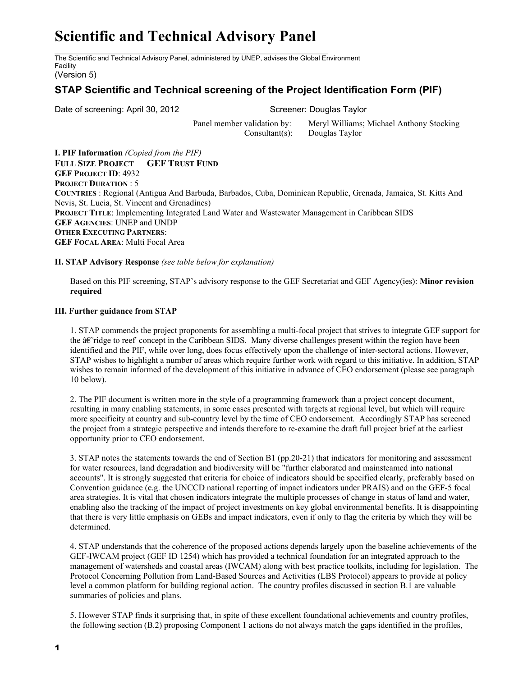# **Scientific and Technical Advisory Panel**

The Scientific and Technical Advisory Panel, administered by UNEP, advises the Global Environment Facility

# (Version 5)

# **STAP Scientific and Technical screening of the Project Identification Form (PIF)**

Date of screening: April 30, 2012 Screener: Douglas Taylor

Panel member validation by: Meryl Williams; Michael Anthony Stocking Consultant(s): Douglas Taylor

**I. PIF Information** *(Copied from the PIF)* **FULL SIZE PROJECT GEF TRUST FUND GEF PROJECT ID**: 4932 **PROJECT DURATION** : 5 **COUNTRIES** : Regional (Antigua And Barbuda, Barbados, Cuba, Dominican Republic, Grenada, Jamaica, St. Kitts And Nevis, St. Lucia, St. Vincent and Grenadines) **PROJECT TITLE**: Implementing Integrated Land Water and Wastewater Management in Caribbean SIDS **GEF AGENCIES**: UNEP and UNDP **OTHER EXECUTING PARTNERS**: **GEF FOCAL AREA**: Multi Focal Area

### **II. STAP Advisory Response** *(see table below for explanation)*

Based on this PIF screening, STAP's advisory response to the GEF Secretariat and GEF Agency(ies): **Minor revision required**

## **III. Further guidance from STAP**

1. STAP commends the project proponents for assembling a multi-focal project that strives to integrate GEF support for the  $\hat{a}\hat{\epsilon}$  ridge to reef' concept in the Caribbean SIDS. Many diverse challenges present within the region have been identified and the PIF, while over long, does focus effectively upon the challenge of inter-sectoral actions. However, STAP wishes to highlight a number of areas which require further work with regard to this initiative. In addition, STAP wishes to remain informed of the development of this initiative in advance of CEO endorsement (please see paragraph 10 below).

2. The PIF document is written more in the style of a programming framework than a project concept document, resulting in many enabling statements, in some cases presented with targets at regional level, but which will require more specificity at country and sub-country level by the time of CEO endorsement. Accordingly STAP has screened the project from a strategic perspective and intends therefore to re-examine the draft full project brief at the earliest opportunity prior to CEO endorsement.

3. STAP notes the statements towards the end of Section B1 (pp.20-21) that indicators for monitoring and assessment for water resources, land degradation and biodiversity will be "further elaborated and mainsteamed into national accounts". It is strongly suggested that criteria for choice of indicators should be specified clearly, preferably based on Convention guidance (e.g. the UNCCD national reporting of impact indicators under PRAIS) and on the GEF-5 focal area strategies. It is vital that chosen indicators integrate the multiple processes of change in status of land and water, enabling also the tracking of the impact of project investments on key global environmental benefits. It is disappointing that there is very little emphasis on GEBs and impact indicators, even if only to flag the criteria by which they will be determined.

4. STAP understands that the coherence of the proposed actions depends largely upon the baseline achievements of the GEF-IWCAM project (GEF ID 1254) which has provided a technical foundation for an integrated approach to the management of watersheds and coastal areas (IWCAM) along with best practice toolkits, including for legislation. The Protocol Concerning Pollution from Land-Based Sources and Activities (LBS Protocol) appears to provide at policy level a common platform for building regional action. The country profiles discussed in section B.1 are valuable summaries of policies and plans.

5. However STAP finds it surprising that, in spite of these excellent foundational achievements and country profiles, the following section (B.2) proposing Component 1 actions do not always match the gaps identified in the profiles,